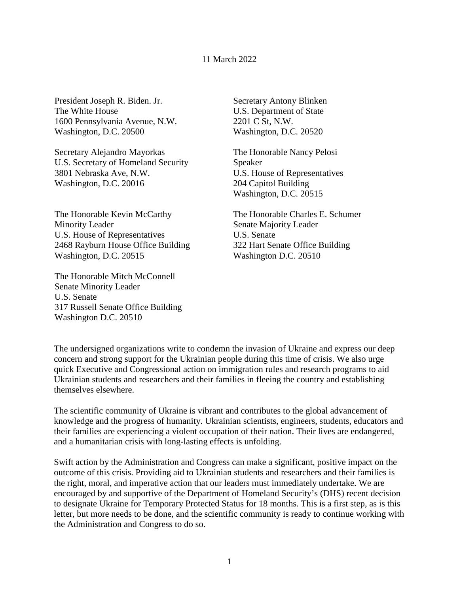## 11 March 2022

President Joseph R. Biden. Jr. The White House 1600 Pennsylvania Avenue, N.W. Washington, D.C. 20500

Secretary Alejandro Mayorkas U.S. Secretary of Homeland Security 3801 Nebraska Ave, N.W. Washington, D.C. 20016

The Honorable Kevin McCarthy Minority Leader U.S. House of Representatives 2468 Rayburn House Office Building Washington, D.C. 20515

The Honorable Mitch McConnell Senate Minority Leader U.S. Senate 317 Russell Senate Office Building Washington D.C. 20510

Secretary Antony Blinken U.S. Department of State 2201 C St, N.W. Washington, D.C. 20520

The Honorable Nancy Pelosi Speaker U.S. House of Representatives 204 Capitol Building Washington, D.C. 20515

The Honorable Charles E. Schumer Senate Majority Leader U.S. Senate 322 Hart Senate Office Building Washington D.C. 20510

The undersigned organizations write to condemn the invasion of Ukraine and express our deep concern and strong support for the Ukrainian people during this time of crisis. We also urge quick Executive and Congressional action on immigration rules and research programs to aid Ukrainian students and researchers and their families in fleeing the country and establishing themselves elsewhere.

The scientific community of Ukraine is vibrant and contributes to the global advancement of knowledge and the progress of humanity. Ukrainian scientists, engineers, students, educators and their families are experiencing a violent occupation of their nation. Their lives are endangered, and a humanitarian crisis with long-lasting effects is unfolding.

Swift action by the Administration and Congress can make a significant, positive impact on the outcome of this crisis. Providing aid to Ukrainian students and researchers and their families is the right, moral, and imperative action that our leaders must immediately undertake. We are encouraged by and supportive of the Department of Homeland Security's (DHS) recent decision to designate Ukraine for Temporary Protected Status for 18 months. This is a first step, as is this letter, but more needs to be done, and the scientific community is ready to continue working with the Administration and Congress to do so.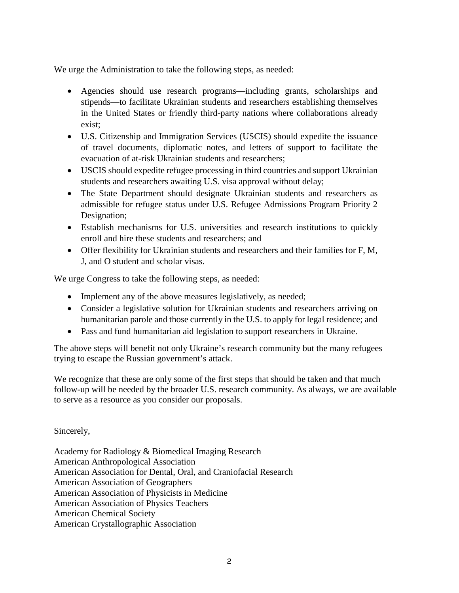We urge the Administration to take the following steps, as needed:

- Agencies should use research programs—including grants, scholarships and stipends—to facilitate Ukrainian students and researchers establishing themselves in the United States or friendly third-party nations where collaborations already exist;
- U.S. Citizenship and Immigration Services (USCIS) should expedite the issuance of travel documents, diplomatic notes, and letters of support to facilitate the evacuation of at-risk Ukrainian students and researchers;
- USCIS should expedite refugee processing in third countries and support Ukrainian students and researchers awaiting U.S. visa approval without delay;
- The State Department should designate Ukrainian students and researchers as admissible for refugee status under U.S. Refugee Admissions Program Priority 2 Designation;
- Establish mechanisms for U.S. universities and research institutions to quickly enroll and hire these students and researchers; and
- Offer flexibility for Ukrainian students and researchers and their families for F, M, J, and O student and scholar visas.

We urge Congress to take the following steps, as needed:

- Implement any of the above measures legislatively, as needed;
- Consider a legislative solution for Ukrainian students and researchers arriving on humanitarian parole and those currently in the U.S. to apply for legal residence; and
- Pass and fund humanitarian aid legislation to support researchers in Ukraine.

The above steps will benefit not only Ukraine's research community but the many refugees trying to escape the Russian government's attack.

We recognize that these are only some of the first steps that should be taken and that much follow-up will be needed by the broader U.S. research community. As always, we are available to serve as a resource as you consider our proposals.

Sincerely,

Academy for Radiology & Biomedical Imaging Research American Anthropological Association American Association for Dental, Oral, and Craniofacial Research American Association of Geographers American Association of Physicists in Medicine American Association of Physics Teachers American Chemical Society American Crystallographic Association